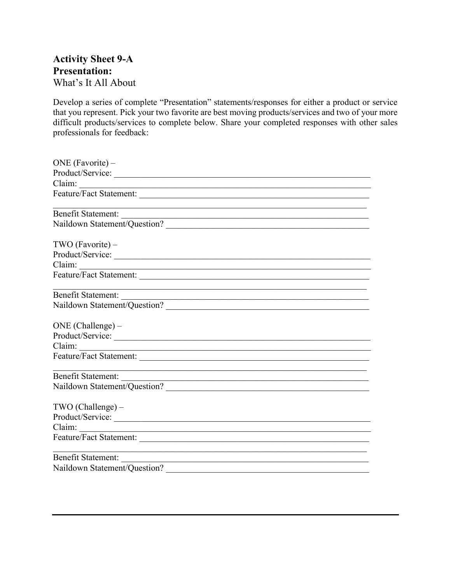## **Activity Sheet 9-A Presentation:** What's It All About

Develop a series of complete "Presentation" statements/responses for either a product or service that you represent. Pick your two favorite are best moving products/services and two of your more difficult products/services to complete below. Share your completed responses with other sales professionals for feedback:

| ONE (Favorite) –                                                                         |
|------------------------------------------------------------------------------------------|
| Product/Service:                                                                         |
|                                                                                          |
| Feature/Fact Statement:                                                                  |
|                                                                                          |
| Naildown Statement/Question?                                                             |
| TWO (Favorite) -                                                                         |
| Product/Service:                                                                         |
|                                                                                          |
|                                                                                          |
|                                                                                          |
| Benefit Statement:<br>Naildown Statement/Question?                                       |
| $ONE (Challenge) -$                                                                      |
| Product/Service:                                                                         |
|                                                                                          |
|                                                                                          |
| <u> 1989 - Johann Stoff, amerikansk politiker (d. 1989)</u>                              |
|                                                                                          |
| TWO (Challenge) -                                                                        |
| Product/Service:                                                                         |
|                                                                                          |
|                                                                                          |
| <u> 1989 - Johann Stoff, amerikansk politiker (d. 1989)</u><br><b>Benefit Statement:</b> |
| Naildown Statement/Question?                                                             |